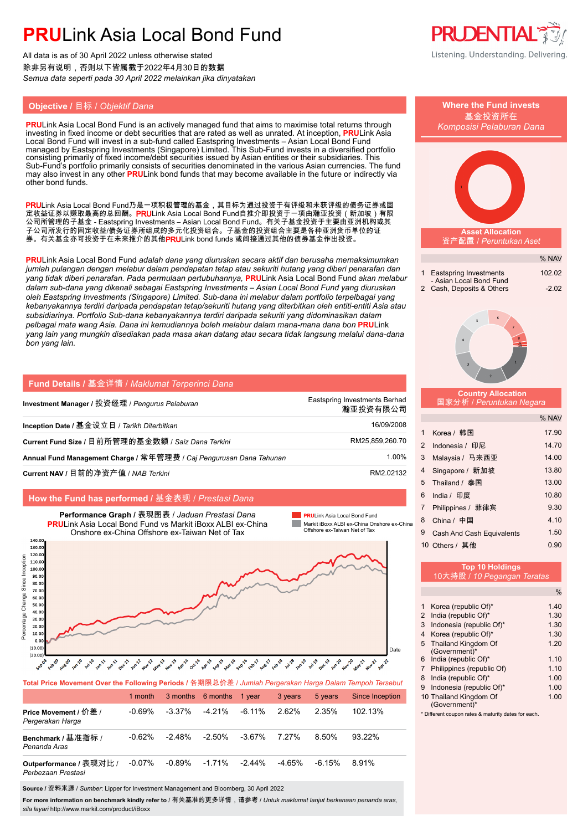All data is as of 30 April 2022 unless otherwise stated 除非另有说明,否则以下皆属截于2022年4月30日的数据 *Semua data seperti pada 30 April 2022 melainkan jika dinyatakan*

### **Objective / 目标 / Objektif Dana**

**PRU**Link Asia Local Bond Fund is an actively managed fund that aims to maximise total returns through investing in fixed income or debt securities that are rated as well as unrated. At inception, **PRU**Link Asia Local Bond Fund will invest in a sub-fund called Eastspring Investments – Asian Local Bond Fund managed by Eastspring Investments (Singapore) Limited. This Sub-Fund invests in a diversified portfolio consisting primarily of fixed income/debt securities issued by Asian entities or their subsidiaries. This Sub-Fund's portfolio primarily consists of securities denominated in the various Asian currencies. The fund may also invest in any other **PRU**Link bond funds that may become available in the future or indirectly via other bond funds.

PRULink Asia Local Bond Fund乃是一项积极管理的基金,其目标为通过投资于有评级和未获评级的债务证券或固 定收益证券以赚取最高的总回酬。PRULink Asia Local Bond Fund自推介即投资于一项由瀚亚投资(新加坡)有限 公司所管理的子基金 - Eastspring Investments – Asian Local Bond Fund。有关子基金投资于主要由亚洲机构或其 子公司所发行的固定收益/债务证券所组成的多元化投资组合。子基金的投资组合主要是各种亚洲货币单位的证 券。有关基金亦可投资于在未来推介的其他PRULink bond funds 或间接通过其他的债券基金作出投资。

**PRU**Link Asia Local Bond Fund *adalah dana yang diuruskan secara aktif dan berusaha memaksimumkan jumlah pulangan dengan melabur dalam pendapatan tetap atau sekuriti hutang yang diberi penarafan dan yang tidak diberi penarafan. Pada permulaan pertubuhannya,* **PRU**Link Asia Local Bond Fund *akan melabur dalam sub-dana yang dikenali sebagai Eastspring Investments – Asian Local Bond Fund yang diuruskan oleh Eastspring Investments (Singapore) Limited. Sub-dana ini melabur dalam portfolio terpelbagai yang kebanyakannya terdiri daripada pendapatan tetap/sekuriti hutang yang diterbitkan oleh entiti-entiti Asia atau subsidiarinya. Portfolio Sub-dana kebanyakannya terdiri daripada sekuriti yang didominasikan dalam pelbagai mata wang Asia. Dana ini kemudiannya boleh melabur dalam mana-mana dana bon* **PRU**Link *yang lain yang mungkin disediakan pada masa akan datang atau secara tidak langsung melalui dana-dana bon yang lain.*

| Fund Details / 基金详情 / Maklumat Terperinci Dana                      |                                           |
|---------------------------------------------------------------------|-------------------------------------------|
| Investment Manager / 投资经理 / Pengurus Pelaburan                      | Eastspring Investments Berhad<br>瀚亚投资有限公司 |
| Inception Date / 基金设立日 / Tarikh Diterbitkan                         | 16/09/2008                                |
| Current Fund Size / 目前所管理的基金数额 / Saiz Dana Terkini                  | RM25.859.260.70                           |
| Annual Fund Management Charge / 常年管理费 / Caj Pengurusan Dana Tahunan | 1.00%                                     |
| Current NAV / 目前的净资产值 / NAB Terkini                                 | RM2.02132                                 |

### **How the Fund has performed /** 基金表现 / *Prestasi Dana*



**Total Price Movement Over the Following Periods /** 各期限总价差 / *Jumlah Pergerakan Harga Dalam Tempoh Tersebut*

|                                               | 1 month   |           | 3 months 6 months | 1 year    | 3 years | 5 years   | <b>Since Inception</b> |
|-----------------------------------------------|-----------|-----------|-------------------|-----------|---------|-----------|------------------------|
| Price Movement / 价差 /<br>Pergerakan Harga     | -0.69%    | $-3.37\%$ | $-4.21%$          | -6.11%    | 262%    | 2.35%     | 102.13%                |
| Benchmark / 基准指标 /<br>Penanda Aras            | $-0.62\%$ | $-2.48\%$ | $-2.50\%$         | -3.67%    | 7.27%   | 8.50%     | $93.22\%$              |
| Outperformance / 表现对比 /<br>Perbezaan Prestasi | $-0.07%$  | $-0.89\%$ | $-1.71%$          | $-2.44\%$ | -4.65%  | $-6.15\%$ | 8.91%                  |

**Source /** 资料来源 / *Sumber*: Lipper for Investment Management and Bloomberg, 30 April 2022

**For more information on benchmark kindly refer to** / 有关基准的更多详情,请参考 / *Untuk maklumat lanjut berkenaan penanda aras, sila layari* http://www.markit.com/product/iBoxx



|    | <b>Where the Fund invests</b><br>基金投资所在<br>Komposisi Pelaburan Dana                           |                   |
|----|-----------------------------------------------------------------------------------------------|-------------------|
|    | <b>Asset Allocation</b><br>资产配置 / Peruntukan Aset                                             |                   |
|    |                                                                                               |                   |
|    |                                                                                               | % NAV             |
|    | <b>Eastspring Investments</b><br>1<br>- Asian Local Bond Fund<br>2<br>Cash, Deposits & Others | 102.02<br>$-2.02$ |
|    | 6<br>5<br>7<br>8<br>4<br>2                                                                    |                   |
|    | <b>Country Allocation</b><br>国家分析 / Peruntukan Negara                                         |                   |
|    |                                                                                               | % NAV             |
|    | Korea / 韩国<br>1                                                                               | 17.90             |
|    | $\overline{2}$<br>Indonesia / 印尼                                                              | 14.70             |
|    | 3<br>Malaysia / 马来西亚                                                                          | 14.00             |
|    | 4<br>Singapore / 新加坡                                                                          | 13.80             |
|    | Thailand / 泰国<br>5                                                                            | 13.00             |
|    | 6<br>India / 印度                                                                               | 10.80             |
|    | 7<br>Philippines / 菲律宾                                                                        | 9.30              |
| ٦a | China / 中国<br>8<br>9                                                                          | 4.10<br>1.50      |
|    | <b>Cash And Cash Equivalents</b><br>10 Others / 其他                                            | 0.90              |
|    | <b>Top 10 Holdings</b><br>10大持股 / 10 Pegangan Teratas                                         |                   |
|    |                                                                                               | $\frac{0}{0}$     |
|    | Korea (republic Of)*<br>1                                                                     | 1.40              |
|    | India (republic Of)*<br>2<br>Indonesia (republic Of)*<br>3                                    | 1.30<br>1.30      |
|    | Korea (republic Of)*<br>4                                                                     | 1.30              |
|    | Thailand Kingdom Of<br>5<br>(Government)*                                                     | 1.20              |
|    | India (republic Of)*<br>6                                                                     | 1.10              |
|    | Philippines (republic Of)<br>$\overline{7}$<br>India (republic Of)*<br>8                      | 1.10<br>1.00      |
|    | Indonesia (republic Of)*<br>9                                                                 | 1.00              |
|    | 10 Thailand Kingdom Of<br>(Government)*                                                       | 1.00              |

\* Different coupon rates & maturity dates for each.

- 
-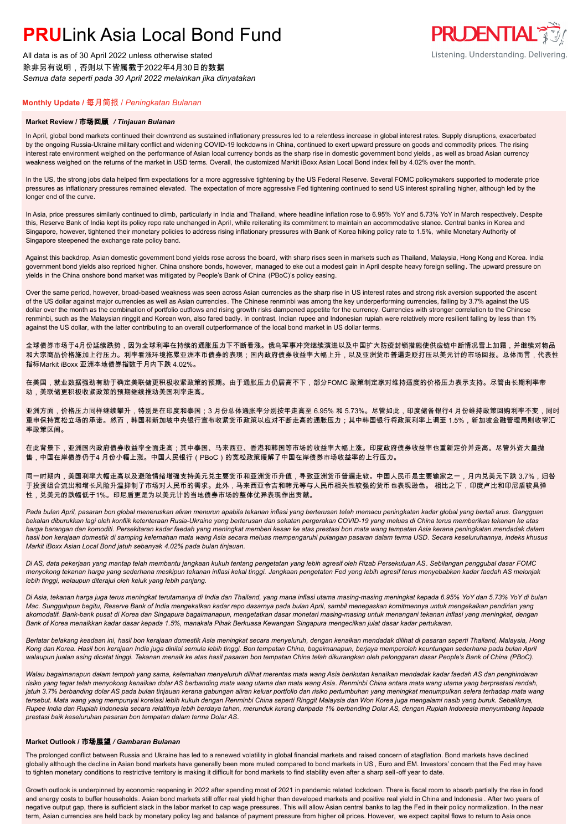All data is as of 30 April 2022 unless otherwise stated 除非另有说明,否则以下皆属截于2022年4月30日的数据 *Semua data seperti pada 30 April 2022 melainkan jika dinyatakan*

#### **Monthly Update /** 每月简报 / *Peningkatan Bulanan*

#### **Market Review /** 市场回顾 */ Tinjauan Bulanan*

In April, global bond markets continued their downtrend as sustained inflationary pressures led to a relentless increase in global interest rates. Supply disruptions, exacerbated by the ongoing Russia-Ukraine military conflict and widening COVID-19 lockdowns in China, continued to exert upward pressure on goods and commodity prices. The rising interest rate environment weighed on the performance of Asian local currency bonds as the sharp rise in domestic government bond yields , as well as broad Asian currency weakness weighed on the returns of the market in USD terms. Overall, the customized Markit iBoxx Asian Local Bond index fell by 4.02% over the month.

**PRUDENTIAL TO:** 

Listening. Understanding. Delivering.

In the US, the strong jobs data helped firm expectations for a more aggressive tightening by the US Federal Reserve. Several FOMC policymakers supported to moderate price pressures as inflationary pressures remained elevated. The expectation of more aggressive Fed tightening continued to send US interest spiralling higher, although led by the longer end of the curve.

In Asia, price pressures similarly continued to climb, particularly in India and Thailand, where headline inflation rose to 6.95% YoY and 5.73% YoY in March respectively. Despite this, Reserve Bank of India kept its policy repo rate unchanged in April, while reiterating its commitment to maintain an accommodative stance. Central banks in Korea and Singapore, however, tightened their monetary policies to address rising inflationary pressures with Bank of Korea hiking policy rate to 1.5%, while Monetary Authority of Singapore steepened the exchange rate policy band.

Against this backdrop, Asian domestic government bond yields rose across the board, with sharp rises seen in markets such as Thailand, Malaysia, Hong Kong and Korea. India government bond yields also repriced higher. China onshore bonds, however, managed to eke out a modest gain in April despite heavy foreign selling. The upward pressure on yields in the China onshore bond market was mitigated by People's Bank of China (PBoC)'s policy easing.

Over the same period, however, broad-based weakness was seen across Asian currencies as the sharp rise in US interest rates and strong risk aversion supported the ascent of the US dollar against major currencies as well as Asian currencies. The Chinese renminbi was among the key underperforming currencies, falling by 3.7% against the US dollar over the month as the combination of portfolio outflows and rising growth risks dampened appetite for the currency. Currencies with stronger correlation to the Chinese renminbi, such as the Malaysian ringgit and Korean won, also fared badly. In contrast, Indian rupee and Indonesian rupiah were relatively more resilient falling by less than 1% against the US dollar, with the latter contributing to an overall outperformance of the local bond market in US dollar terms.

全球债券市场于4月份延续跌势,因为全球利率在持续的通胀压力下不断看涨。俄乌军事冲突继续演进以及中国扩大防疫封锁措施使供应链中断情况雪上加霜,并继续对物品 和大宗商品价格施加上行压力。利率看涨环境拖累亚洲本币债券的表现;国内政府债券收益率大幅上升,以及亚洲货币普遍走贬打压以美元计的市场回报。总体而言,代表性 指标Markit iBoxx 亚洲本地债券指数于月内下跌 4.02%。

在美国,就业数据强劲有助于确定美联储更积极收紧政策的预期。由于通胀压力仍居高不下,部分FOMC 政策制定家对维持适度的价格压力表示支持。尽管由长期利率带 动、美联储更积极收紧政策的预期继续推动美国利率走高。

亚洲方面,价格压力同样继续攀升,特别是在印度和泰国;3 月份总体通胀率分别按年走高至 6.95% 和 5.73%。尽管如此,印度储备银行4 月份维持政策回购利率不变,同时 重申保持宽松立场的承诺。然而,韩国和新加坡中央银行宣布收紧货币政策以应对不断走高的通胀压力;其中韩国银行将政策利率上调至 1.5%,新加坡金融管理局则收窄汇 率政策区间。

在此背景下,亚洲国内政府债券收益率全面走高;其中泰国、马来西亚、香港和韩国等市场的收益率大幅上涨。印度政府债券收益率也重新定价并走高。尽管外资大量抛 售,中国在岸债券仍于4 月份小幅上涨。中国人民银行(PBoC)的宽松政策缓解了中国在岸债券市场收益率的上行压力。

同一时期内,美国利率大幅走高以及避险情绪增强支持美元兑主要货币和亚洲货币升值,导致亚洲货币普遍走软。中国人民币是主要输家之一,月内兑美元下跌 3.7%,归咎 于投资组合流出和增长风险升温抑制了市场对人民币的需求。此外,马来西亚令吉和韩元等与人民币相关性较强的货币也表现逊色。 相比之下,印度卢比和印尼盾较具弹 性,兑美元的跌幅低于1%。印尼盾更是为以美元计的当地债券市场的整体优异表现作出贡献。

Pada bulan April, pasaran bon global meneruskan aliran menurun apabila tekanan inflasi yang berterusan telah memacu peningkatan kadar global yang bertali arus. Gangguan *bekalan diburukkan lagi oleh konflik ketenteraan Rusia-Ukraine yang berterusan dan sekatan pergerakan COVID-19 yang meluas di China terus memberikan tekanan ke atas harga barangan dan komoditi. Persekitaran kadar faedah yang meningkat memberi kesan ke atas prestasi bon mata wang tempatan Asia kerana peningkatan mendadak dalam hasil bon kerajaan domestik di samping kelemahan mata wang Asia secara meluas mempengaruhi pulangan pasaran dalam terma USD. Secara keseluruhannya, indeks khusus Markit iBoxx Asian Local Bond jatuh sebanyak 4.02% pada bulan tinjauan.*

*Di AS, data pekerjaan yang mantap telah membantu jangkaan kukuh tentang pengetatan yang lebih agresif oleh Rizab Persekutuan AS. Sebilangan penggubal dasar FOMC menyokong tekanan harga yang sederhana meskipun tekanan inflasi kekal tinggi. Jangkaan pengetatan Fed yang lebih agresif terus menyebabkan kadar faedah AS melonjak lebih tinggi, walaupun diterajui oleh keluk yang lebih panjang.*

*Di Asia, tekanan harga juga terus meningkat terutamanya di India dan Thailand, yang mana inflasi utama masing-masing meningkat kepada 6.95% YoY dan 5.73% YoY di bulan Mac. Sungguhpun begitu, Reserve Bank of India mengekalkan kadar repo dasarnya pada bulan April, sambil menegaskan komitmennya untuk mengekalkan pendirian yang akomodatif. Bank-bank pusat di Korea dan Singapura bagaimanapun, mengetatkan dasar monetari masing-masing untuk menangani tekanan inflasi yang meningkat, dengan Bank of Korea menaikkan kadar dasar kepada 1.5%, manakala Pihak Berkuasa Kewangan Singapura mengecilkan julat dasar kadar pertukaran.*

*Berlatar belakang keadaan ini, hasil bon kerajaan domestik Asia meningkat secara menyeluruh, dengan kenaikan mendadak dilihat di pasaran seperti Thailand, Malaysia, Hong Kong dan Korea. Hasil bon kerajaan India juga dinilai semula lebih tinggi. Bon tempatan China, bagaimanapun, berjaya memperoleh keuntungan sederhana pada bulan April walaupun jualan asing dicatat tinggi. Tekanan menaik ke atas hasil pasaran bon tempatan China telah dikurangkan oleh pelonggaran dasar People's Bank of China (PBoC).*

*Walau bagaimanapun dalam tempoh yang sama, kelemahan menyeluruh dilihat merentas mata wang Asia berikutan kenaikan mendadak kadar faedah AS dan penghindaran risiko yang tegar telah menyokong kenaikan dolar AS berbanding mata wang utama dan mata wang Asia. Renminbi China antara mata wang utama yang berprestasi rendah,*  jatuh 3.7% berbanding dolar AS pada bulan tinjauan kerana gabungan aliran keluar portfolio dan risiko pertumbuhan yang meningkat menumpulkan selera terhadap mata wang *tersebut. Mata wang yang mempunyai korelasi lebih kukuh dengan Renminbi China seperti Ringgit Malaysia dan Won Korea juga mengalami nasib yang buruk. Sebaliknya, Rupee India dan Rupiah Indonesia secara relatifnya lebih berdaya tahan, merunduk kurang daripada 1% berbanding Dolar AS, dengan Rupiah Indonesia menyumbang kepada prestasi baik keseluruhan pasaran bon tempatan dalam terma Dolar AS.*

### **Market Outlook /** 市场展望 */ Gambaran Bulanan*

The prolonged conflict between Russia and Ukraine has led to a renewed volatility in global financial markets and raised concern of stagflation. Bond markets have declined globally although the decline in Asian bond markets have generally been more muted compared to bond markets in US, Euro and EM. Investors' concern that the Fed may have to tighten monetary conditions to restrictive territory is making it difficult for bond markets to find stability even after a sharp sell-off year to date.

Growth outlook is underpinned by economic reopening in 2022 after spending most of 2021 in pandemic related lockdown. There is fiscal room to absorb partially the rise in food and energy costs to buffer households. Asian bond markets still offer real yield higher than developed markets and positive real yield in China and Indonesia . After two years of negative output gap, there is sufficient slack in the labor market to cap wage pressures. This will allow Asian central banks to lag the Fed in their policy normalization. In the near term, Asian currencies are held back by monetary policy lag and balance of payment pressure from higher oil prices. However, we expect capital flows to return to Asia once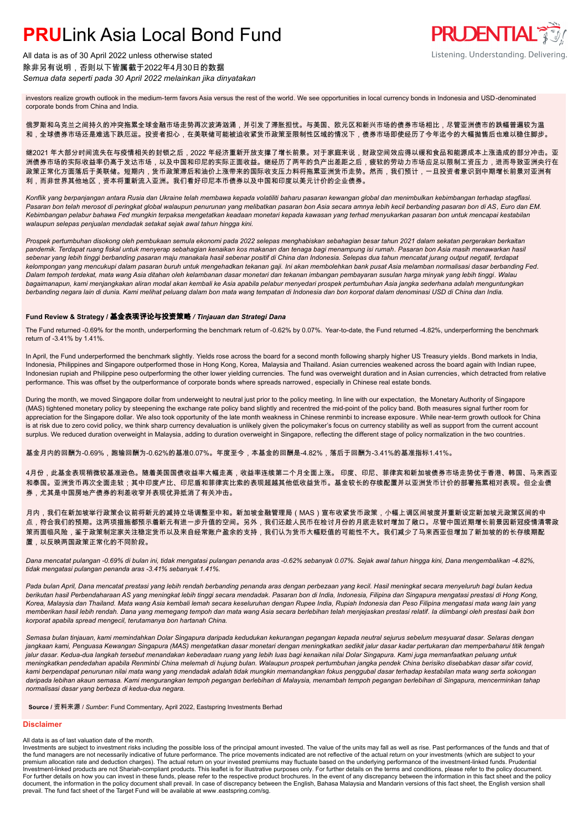All data is as of 30 April 2022 unless otherwise stated 除非另有说明,否则以下皆属截于2022年4月30日的数据 *Semua data seperti pada 30 April 2022 melainkan jika dinyatakan*

### **PRUDENTIAL** Listening. Understanding. Delivering.

investors realize growth outlook in the medium-term favors Asia versus the rest of the world. We see opportunities in local currency bonds in Indonesia and USD-denominated corporate bonds from China and India.

俄罗斯和乌克兰之间持久的冲突拖累全球金融市场走势再次波涛汹涌,并引发了滞胀担忧。与美国、欧元区和新兴市场的债券市场相比,尽管亚洲债市的跌幅普遍较为温 和,全球债券市场还是难逃下跌厄运。投资者担心,在美联储可能被迫收紧货币政策至限制性区域的情况下,债券市场即使经历了今年迄今的大幅抛售后也难以稳住脚步。

继2021 年大部分时间流失在与疫情相关的封锁之后,2022 年经济重新开放支撑了增长前景。对于家庭来说,财政空间效应得以缓和食品和能源成本上涨造成的部分冲击。亚 洲债券市场的实际收益率仍高于发达市场,以及中国和印尼的实际正面收益。继经历了两年的负产出差距之后,疲软的劳动力市场应足以限制工资压力,进而导致亚洲央行在 政策正常化方面落后于美联储。短期内,货币政策滞后和油价上涨带来的国际收支压力料将拖累亚洲货币走势。然而,我们预计,一旦投资者意识到中期增长前景对亚洲有 利,而非世界其他地区,资本将重新流入亚洲。我们看好印尼本币债券以及中国和印度以美元计价的企业债券。

*Konflik yang berpanjangan antara Rusia dan Ukraine telah membawa kepada volatiliti baharu pasaran kewangan global dan menimbulkan kebimbangan terhadap stagflasi. Pasaran bon telah merosot di peringkat global walaupun penurunan yang melibatkan pasaran bon Asia secara amnya lebih kecil berbanding pasaran bon di AS, Euro dan EM. Kebimbangan pelabur bahawa Fed mungkin terpaksa mengetatkan keadaan monetari kepada kawasan yang terhad menyukarkan pasaran bon untuk mencapai kestabilan walaupun selepas penjualan mendadak setakat sejak awal tahun hingga kini.*

*Prospek pertumbuhan disokong oleh pembukaan semula ekonomi pada 2022 selepas menghabiskan sebahagian besar tahun 2021 dalam sekatan pergerakan berkaitan pandemik. Terdapat ruang fiskal untuk menyerap sebahagian kenaikan kos makanan dan tenaga bagi menampung isi rumah. Pasaran bon Asia masih menawarkan hasil sebenar yang lebih tinggi berbanding pasaran maju manakala hasil sebenar positif di China dan Indonesia. Selepas dua tahun mencatat jurang output negatif, terdapat kelompongan yang mencukupi dalam pasaran buruh untuk mengehadkan tekanan gaji. Ini akan membolehkan bank pusat Asia melamban normalisasi dasar berbanding Fed. Dalam tempoh terdekat, mata wang Asia ditahan oleh kelambanan dasar monetari dan tekanan imbangan pembayaran susulan harga minyak yang lebih tinggi. Walau bagaimanapun, kami menjangkakan aliran modal akan kembali ke Asia apabila pelabur menyedari prospek pertumbuhan Asia jangka sederhana adalah menguntungkan berbanding negara lain di dunia. Kami melihat peluang dalam bon mata wang tempatan di Indonesia dan bon korporat dalam denominasi USD di China dan India.*

### **Fund Review & Strategy /** 基金表现评论与投资策略 */ Tinjauan dan Strategi Dana*

The Fund returned -0.69% for the month, underperforming the benchmark return of -0.62% by 0.07%. Year-to-date, the Fund returned -4.82%, underperforming the benchmark return of -3.41% by 1.41%.

In April, the Fund underperformed the benchmark slightly. Yields rose across the board for a second month following sharply higher US Treasury yields . Bond markets in India, Indonesia, Philippines and Singapore outperformed those in Hong Kong, Korea, Malaysia and Thailand. Asian currencies weakened across the board again with Indian rupee, Indonesian rupiah and Philippine peso outperforming the other lower yielding currencies. The fund was overweight duration and in Asian currencies, which detracted from relative performance. This was offset by the outperformance of corporate bonds where spreads narrowed, especially in Chinese real estate bonds.

During the month, we moved Singapore dollar from underweight to neutral just prior to the policy meeting. In line with our expectation, the Monetary Authority of Singapore (MAS) tightened monetary policy by steepening the exchange rate policy band slightly and recentred the mid-point of the policy band. Both measures signal further room for appreciation for the Singapore dollar. We also took opportunity of the late month weakness in Chinese renminbi to increase exposure . While near-term growth outlook for China is at risk due to zero covid policy, we think sharp currency devaluation is unlikely given the policymaker's focus on currency stability as well as support from the current account surplus. We reduced duration overweight in Malaysia, adding to duration overweight in Singapore, reflecting the different stage of policy normalization in the two countries.

基金月内的回酬为-0.69%,跑输回酬为-0.62%的基准0.07%。年度至今,本基金的回酬是-4.82%,落后于回酬为-3.41%的基准指标1.41%。

4月份,此基金表现稍微较基准逊色。随着美国国债收益率大幅走高,收益率连续第二个月全面上涨。 印度、印尼、菲律宾和新加坡债券市场走势优于香港、韩国、马来西亚 和泰国。亚洲货币再次全面走软;其中印度卢比、印尼盾和菲律宾比索的表现超越其他低收益货币。基金较长的存续配置并以亚洲货币计价的部署拖累相对表现。但企业债 券,尤其是中国房地产债券的利差收窄并表现优异抵消了有关冲击。

月内,我们在新加坡举行政策会议前将新元的减持立场调整至中和。新加坡金融管理局(MAS)宣布收紧货币政策,小幅上调区间坡度并重新设定新加坡元政策区间的中 点,符合我们的预期。这两项措施都预示着新元有进一步升值的空间。另外,我们还趁人民币在检讨月份的月底走软时增加了敞口。尽管中国近期增长前景因新冠疫情清零政 策而面临风险,鉴于政策制定家关注稳定货币以及来自经常账户盈余的支持,我们认为货币大幅贬值的可能性不大。我们减少了马来西亚但增加了新加坡的的长存续期配 置,以反映两国政策正常化的不同阶段。

*Dana mencatat pulangan -0.69% di bulan ini, tidak mengatasi pulangan penanda aras -0.62% sebanyak 0.07%. Sejak awal tahun hingga kini, Dana mengembalikan -4.82%, tidak mengatasi pulangan penanda aras -3.41% sebanyak 1.41%.*

*Pada bulan April, Dana mencatat prestasi yang lebih rendah berbanding penanda aras dengan perbezaan yang kecil. Hasil meningkat secara menyeluruh bagi bulan kedua berikutan hasil Perbendaharaan AS yang meningkat lebih tinggi secara mendadak. Pasaran bon di India, Indonesia, Filipina dan Singapura mengatasi prestasi di Hong Kong, Korea, Malaysia dan Thailand. Mata wang Asia kembali lemah secara keseluruhan dengan Rupee India, Rupiah Indonesia dan Peso Filipina mengatasi mata wang lain yang memberikan hasil lebih rendah. Dana yang memegang tempoh dan mata wang Asia secara berlebihan telah menjejaskan prestasi relatif. Ia diimbangi oleh prestasi baik bon korporat apabila spread mengecil, terutamanya bon hartanah China.*

*Semasa bulan tinjauan, kami memindahkan Dolar Singapura daripada kedudukan kekurangan pegangan kepada neutral sejurus sebelum mesyuarat dasar. Selaras dengan jangkaan kami, Penguasa Kewangan Singapura (MAS) mengetatkan dasar monetari dengan meningkatkan sedikit jalur dasar kadar pertukaran dan memperbaharui titik tengah jalur dasar. Kedua-dua langkah tersebut menandakan keberadaan ruang yang lebih luas bagi kenaikan nilai Dolar Singapura. Kami juga memanfaatkan peluang untuk meningkatkan pendedahan apabila Renminbi China melemah di hujung bulan. Walaupun prospek pertumbuhan jangka pendek China berisiko disebabkan dasar sifar covid, kami berpendapat penurunan nilai mata wang yang mendadak adalah tidak mungkin memandangkan fokus penggubal dasar terhadap kestabilan mata wang serta sokongan daripada lebihan akaun semasa. Kami mengurangkan tempoh pegangan berlebihan di Malaysia, menambah tempoh pegangan berlebihan di Singapura, mencerminkan tahap normalisasi dasar yang berbeza di kedua-dua negara.*

**Source /** 资料来源 / *Sumber*: Fund Commentary, April 2022, Eastspring Investments Berhad

#### **Disclaimer**

#### All data is as of last valuation date of the month.

Investments are subject to investment risks including the possible loss of the principal amount invested. The value of the units may fall as well as rise. Past performances of the funds and that of the fund managers are not necessarily indicative of future performance. The price movements indicated are not reflective of the actual return on your investments (which are subject to your investment-linked funds. Prudenti document, the information in the policy document shall prevail. In case of discrepancy between the English, Bahasa Malaysia and Mandarin versions of this fact sheet, the English version shall prevail. The fund fact sheet of the Target Fund will be available at www .eastspring.com/sg.